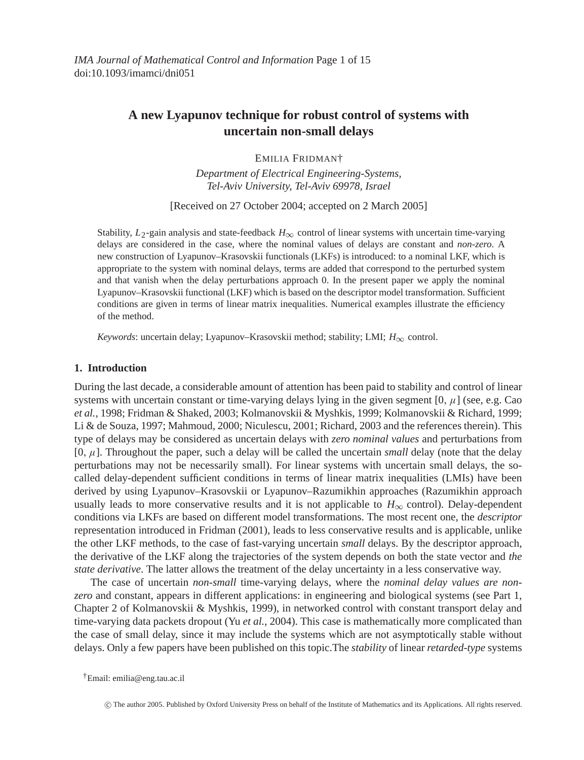# **A new Lyapunov technique for robust control of systems with uncertain non-small delays**

EMILIA FRIDMAN†

*Department of Electrical Engineering-Systems, Tel-Aviv University, Tel-Aviv 69978, Israel*

[Received on 27 October 2004; accepted on 2 March 2005]

Stability,  $L_2$ -gain analysis and state-feedback  $H_{\infty}$  control of linear systems with uncertain time-varying delays are considered in the case, where the nominal values of delays are constant and *non-zero*. A new construction of Lyapunov–Krasovskii functionals (LKFs) is introduced: to a nominal LKF, which is appropriate to the system with nominal delays, terms are added that correspond to the perturbed system and that vanish when the delay perturbations approach 0. In the present paper we apply the nominal Lyapunov–Krasovskii functional (LKF) which is based on the descriptor model transformation. Sufficient conditions are given in terms of linear matrix inequalities. Numerical examples illustrate the efficiency of the method.

*Keywords*: uncertain delay; Lyapunov–Krasovskii method; stability; LMI;  $H_{\infty}$  control.

# **1. Introduction**

During the last decade, a considerable amount of attention has been paid to stability and control of linear systems with uncertain constant or time-varying delays lying in the given segment  $[0, \mu]$  (see, e.g. Cao *et al.*, 1998; Fridman & Shaked, 2003; Kolmanovskii & Myshkis, 1999; Kolmanovskii & Richard, 1999; Li & de Souza, 1997; Mahmoud, 2000; Niculescu, 2001; Richard, 2003 and the references therein). This type of delays may be considered as uncertain delays with *zero nominal values* and perturbations from  $[0, \mu]$ . Throughout the paper, such a delay will be called the uncertain *small* delay (note that the delay perturbations may not be necessarily small). For linear systems with uncertain small delays, the socalled delay-dependent sufficient conditions in terms of linear matrix inequalities (LMIs) have been derived by using Lyapunov–Krasovskii or Lyapunov–Razumikhin approaches (Razumikhin approach usually leads to more conservative results and it is not applicable to  $H_{\infty}$  control). Delay-dependent conditions via LKFs are based on different model transformations. The most recent one, the *descriptor* representation introduced in Fridman (2001), leads to less conservative results and is applicable, unlike the other LKF methods, to the case of fast-varying uncertain *small* delays. By the descriptor approach, the derivative of the LKF along the trajectories of the system depends on both the state vector and *the state derivative*. The latter allows the treatment of the delay uncertainty in a less conservative way.

The case of uncertain *non-small* time-varying delays, where the *nominal delay values are nonzero* and constant, appears in different applications: in engineering and biological systems (see Part 1, Chapter 2 of Kolmanovskii & Myshkis, 1999), in networked control with constant transport delay and time-varying data packets dropout (Yu *et al.*, 2004). This case is mathematically more complicated than the case of small delay, since it may include the systems which are not asymptotically stable without delays. Only a few papers have been published on this topic.The *stability* of linear *retarded-type* systems

†Email: emilia@eng.tau.ac.il

<sup>-</sup>c The author 2005. Published by Oxford University Press on behalf of the Institute of Mathematics and its Applications. All rights reserved.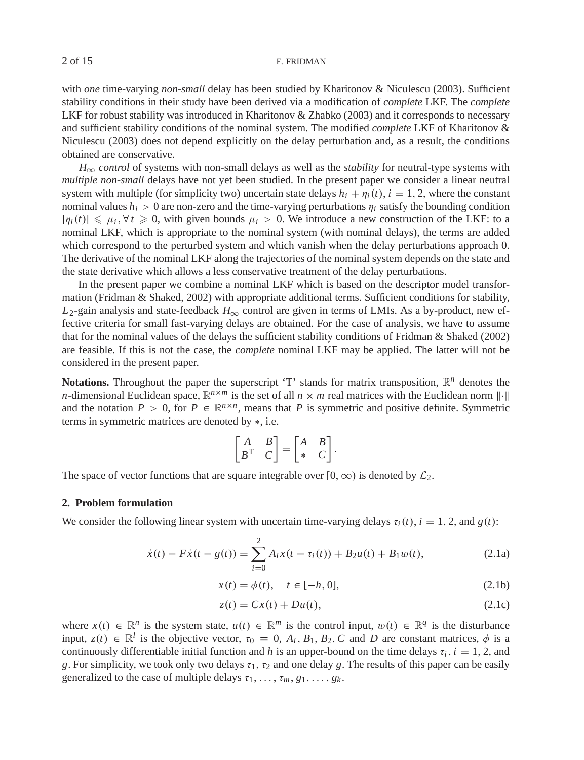with *one* time-varying *non-small* delay has been studied by Kharitonov & Niculescu (2003). Sufficient stability conditions in their study have been derived via a modification of *complete* LKF. The *complete* LKF for robust stability was introduced in Kharitonov & Zhabko (2003) and it corresponds to necessary and sufficient stability conditions of the nominal system. The modified *complete* LKF of Kharitonov & Niculescu (2003) does not depend explicitly on the delay perturbation and, as a result, the conditions obtained are conservative.

 $H_{\infty}$  *control* of systems with non-small delays as well as the *stability* for neutral-type systems with *multiple non-small* delays have not yet been studied. In the present paper we consider a linear neutral system with multiple (for simplicity two) uncertain state delays  $h_i + \eta_i(t)$ ,  $i = 1, 2$ , where the constant nominal values  $h_i > 0$  are non-zero and the time-varying perturbations  $\eta_i$  satisfy the bounding condition  $|\eta_i(t)| \le \mu_i, \forall t \ge 0$ , with given bounds  $\mu_i > 0$ . We introduce a new construction of the LKF: to a nominal LKF, which is appropriate to the nominal system (with nominal delays), the terms are added which correspond to the perturbed system and which vanish when the delay perturbations approach 0. The derivative of the nominal LKF along the trajectories of the nominal system depends on the state and the state derivative which allows a less conservative treatment of the delay perturbations.

In the present paper we combine a nominal LKF which is based on the descriptor model transformation (Fridman & Shaked, 2002) with appropriate additional terms. Sufficient conditions for stability,  $L_2$ -gain analysis and state-feedback  $H_{\infty}$  control are given in terms of LMIs. As a by-product, new effective criteria for small fast-varying delays are obtained. For the case of analysis, we have to assume that for the nominal values of the delays the sufficient stability conditions of Fridman & Shaked (2002) are feasible. If this is not the case, the *complete* nominal LKF may be applied. The latter will not be considered in the present paper.

**Notations.** Throughout the paper the superscript 'T' stands for matrix transposition,  $\mathbb{R}^n$  denotes the *n*-dimensional Euclidean space,  $\mathbb{R}^{n \times m}$  is the set of all  $n \times m$  real matrices with the Euclidean norm  $\|\cdot\|$ and the notation  $P > 0$ , for  $P \in \mathbb{R}^{n \times n}$ , means that P is symmetric and positive definite. Symmetric terms in symmetric matrices are denoted by ∗, i.e.

$$
\begin{bmatrix} A & B \\ B^T & C \end{bmatrix} = \begin{bmatrix} A & B \\ * & C \end{bmatrix}.
$$

The space of vector functions that are square integrable over [0, ∞) is denoted by  $\mathcal{L}_2$ .

### **2. Problem formulation**

We consider the following linear system with uncertain time-varying delays  $\tau_i(t)$ ,  $i = 1, 2$ , and  $g(t)$ :

$$
\dot{x}(t) - F\dot{x}(t - g(t)) = \sum_{i=0}^{2} A_i x(t - \tau_i(t)) + B_2 u(t) + B_1 w(t),
$$
\n(2.1a)

$$
x(t) = \phi(t), \quad t \in [-h, 0],
$$
 (2.1b)

$$
z(t) = Cx(t) + Du(t),
$$
\n(2.1c)

where  $x(t) \in \mathbb{R}^n$  is the system state,  $u(t) \in \mathbb{R}^m$  is the control input,  $w(t) \in \mathbb{R}^q$  is the disturbance input,  $z(t) \in \mathbb{R}^l$  is the objective vector,  $\tau_0 \equiv 0$ ,  $A_i$ ,  $B_1$ ,  $B_2$ , C and D are constant matrices,  $\phi$  is a continuously differentiable initial function and *h* is an upper-bound on the time delays  $\tau_i$ ,  $i = 1, 2$ , and *g*. For simplicity, we took only two delays  $\tau_1$ ,  $\tau_2$  and one delay *g*. The results of this paper can be easily generalized to the case of multiple delays  $\tau_1, \ldots, \tau_m, g_1, \ldots, g_k$ .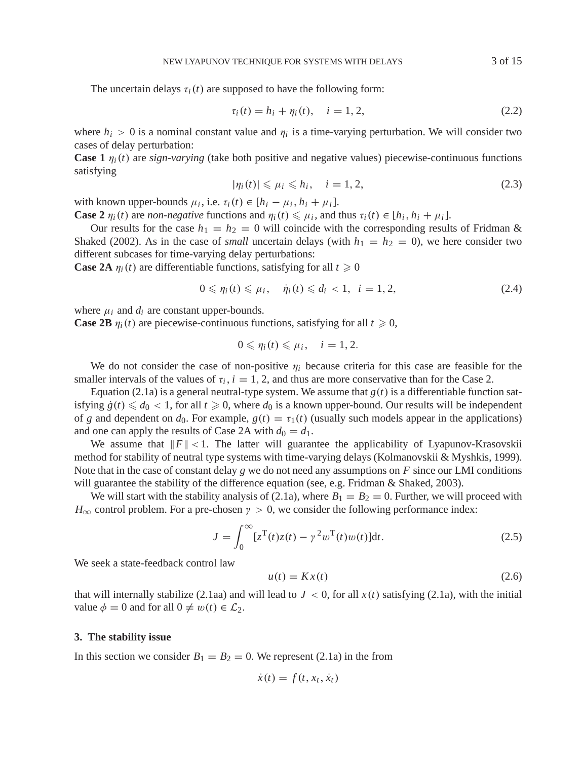The uncertain delays  $\tau_i(t)$  are supposed to have the following form:

$$
\tau_i(t) = h_i + \eta_i(t), \quad i = 1, 2,
$$
\n(2.2)

where  $h_i > 0$  is a nominal constant value and  $\eta_i$  is a time-varying perturbation. We will consider two cases of delay perturbation:

**Case 1**  $\eta_i(t)$  are *sign-varying* (take both positive and negative values) piecewise-continuous functions satisfying

$$
|\eta_i(t)| \le \mu_i \le h_i, \quad i = 1, 2,
$$
\n
$$
(2.3)
$$

with known upper-bounds  $\mu_i$ , i.e.  $\tau_i(t) \in [h_i - \mu_i, h_i + \mu_i]$ .

**Case 2**  $\eta_i(t)$  are *non-negative* functions and  $\eta_i(t) \leq \mu_i$ , and thus  $\tau_i(t) \in [h_i, h_i + \mu_i]$ .

Our results for the case  $h_1 = h_2 = 0$  will coincide with the corresponding results of Fridman & Shaked (2002). As in the case of *small* uncertain delays (with  $h_1 = h_2 = 0$ ), we here consider two different subcases for time-varying delay perturbations:

**Case 2A**  $\eta_i(t)$  are differentiable functions, satisfying for all  $t \ge 0$ 

$$
0 \leqslant \eta_i(t) \leqslant \mu_i, \quad \dot{\eta}_i(t) \leqslant d_i < 1, \quad i = 1, 2,\tag{2.4}
$$

where  $\mu_i$  and  $d_i$  are constant upper-bounds.

**Case 2B**  $\eta_i(t)$  are piecewise-continuous functions, satisfying for all  $t \ge 0$ ,

$$
0\leqslant \eta_i(t)\leqslant \mu_i, \quad i=1,2.
$$

We do not consider the case of non-positive  $\eta_i$  because criteria for this case are feasible for the smaller intervals of the values of  $\tau_i$ ,  $i = 1, 2$ , and thus are more conservative than for the Case 2.

Equation (2.1a) is a general neutral-type system. We assume that  $g(t)$  is a differentiable function satisfying  $\dot{g}(t) \leq d_0 < 1$ , for all  $t \geq 0$ , where  $d_0$  is a known upper-bound. Our results will be independent of *g* and dependent on  $d_0$ . For example,  $g(t) = \tau_1(t)$  (usually such models appear in the applications) and one can apply the results of Case 2A with  $d_0 = d_1$ .

We assume that  $||F|| < 1$ . The latter will guarantee the applicability of Lyapunov-Krasovskii method for stability of neutral type systems with time-varying delays (Kolmanovskii & Myshkis, 1999). Note that in the case of constant delay *g* we do not need any assumptions on *F* since our LMI conditions will guarantee the stability of the difference equation (see, e.g. Fridman & Shaked, 2003).

We will start with the stability analysis of (2.1a), where  $B_1 = B_2 = 0$ . Further, we will proceed with  $H_{\infty}$  control problem. For a pre-chosen  $\gamma > 0$ , we consider the following performance index:

$$
J = \int_0^\infty [z^{\mathrm{T}}(t)z(t) - \gamma^2 w^{\mathrm{T}}(t)w(t)]dt.
$$
 (2.5)

We seek a state-feedback control law

$$
u(t) = Kx(t) \tag{2.6}
$$

that will internally stabilize (2.1aa) and will lead to  $J < 0$ , for all  $x(t)$  satisfying (2.1a), with the initial value  $\phi = 0$  and for all  $0 \neq w(t) \in \mathcal{L}_2$ .

#### **3. The stability issue**

In this section we consider  $B_1 = B_2 = 0$ . We represent (2.1a) in the from

$$
\dot{x}(t) = f(t, x_t, \dot{x}_t)
$$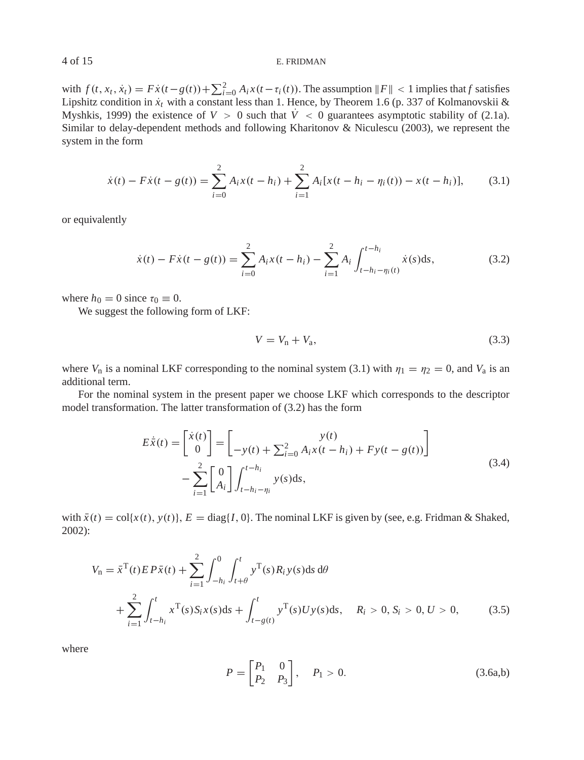with  $f(t, x_t, \dot{x}_t) = F\dot{x}(t - g(t)) + \sum_{i=0}^{2} A_i x(t - \tau_i(t))$ . The assumption  $||F|| < 1$  implies that *f* satisfies Lipshitz condition in  $\dot{x}_t$  with a constant less than 1. Hence, by Theorem 1.6 (p. 337 of Kolmanovskii & Myshkis, 1999) the existence of  $V > 0$  such that  $\dot{V} < 0$  guarantees asymptotic stability of (2.1a). Similar to delay-dependent methods and following Kharitonov & Niculescu (2003), we represent the system in the form

$$
\dot{x}(t) - F\dot{x}(t - g(t)) = \sum_{i=0}^{2} A_i x(t - h_i) + \sum_{i=1}^{2} A_i [x(t - h_i - \eta_i(t)) - x(t - h_i)],
$$
(3.1)

or equivalently

$$
\dot{x}(t) - F\dot{x}(t - g(t)) = \sum_{i=0}^{2} A_i x(t - h_i) - \sum_{i=1}^{2} A_i \int_{t - h_i - \eta_i(t)}^{t - h_i} \dot{x}(s) \, \mathrm{d}s,\tag{3.2}
$$

where  $h_0 = 0$  since  $\tau_0 \equiv 0$ .

We suggest the following form of LKF:

$$
V = V_{\rm n} + V_{\rm a},\tag{3.3}
$$

where  $V_n$  is a nominal LKF corresponding to the nominal system (3.1) with  $\eta_1 = \eta_2 = 0$ , and  $V_a$  is an additional term.

For the nominal system in the present paper we choose LKF which corresponds to the descriptor model transformation. The latter transformation of (3.2) has the form

$$
E\dot{\bar{x}}(t) = \begin{bmatrix} \dot{x}(t) \\ 0 \end{bmatrix} = \begin{bmatrix} y(t) \\ -y(t) + \sum_{i=0}^{2} A_i x(t - h_i) + F y(t - g(t)) \end{bmatrix}
$$
  
 
$$
- \sum_{i=1}^{2} \begin{bmatrix} 0 \\ A_i \end{bmatrix} \int_{t - h_i - \eta_i}^{t - h_i} y(s) ds,
$$
 (3.4)

with  $\bar{x}(t) = \text{col}\{x(t), y(t)\}, E = \text{diag}\{I, 0\}.$  The nominal LKF is given by (see, e.g. Fridman & Shaked, 2002):

$$
V_{n} = \bar{x}^{T}(t) E P \bar{x}(t) + \sum_{i=1}^{2} \int_{-h_{i}}^{0} \int_{t+\theta}^{t} y^{T}(s) R_{i} y(s) ds d\theta
$$
  
+ 
$$
\sum_{i=1}^{2} \int_{t-h_{i}}^{t} x^{T}(s) S_{i} x(s) ds + \int_{t-g(t)}^{t} y^{T}(s) U y(s) ds, \quad R_{i} > 0, S_{i} > 0, U > 0,
$$
 (3.5)

where

$$
P = \begin{bmatrix} P_1 & 0 \\ P_2 & P_3 \end{bmatrix}, \quad P_1 > 0. \tag{3.6a,b}
$$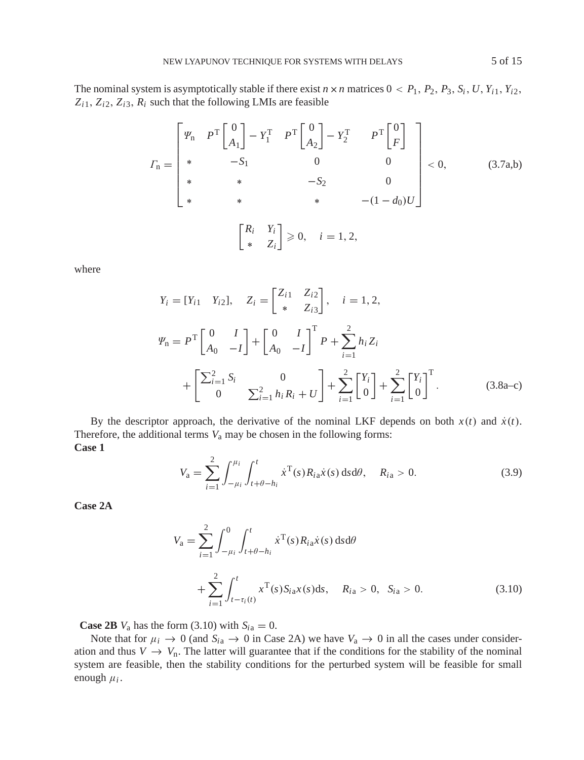The nominal system is asymptotically stable if there exist  $n \times n$  matrices  $0 < P_1$ ,  $P_2$ ,  $P_3$ ,  $S_i$ ,  $U$ ,  $Y_{i1}$ ,  $Y_{i2}$ ,  $Z_{i1}$ ,  $Z_{i2}$ ,  $Z_{i3}$ ,  $R_i$  such that the following LMIs are feasible

$$
I_{\mathbf{n}} = \begin{bmatrix} \varPsi_{\mathbf{n}} & P^{\mathsf{T}} \begin{bmatrix} 0 \\ A_{1} \end{bmatrix} - Y_{1}^{\mathsf{T}} & P^{\mathsf{T}} \begin{bmatrix} 0 \\ A_{2} \end{bmatrix} - Y_{2}^{\mathsf{T}} & P^{\mathsf{T}} \begin{bmatrix} 0 \\ F \end{bmatrix} \\ * & -S_{1} & 0 & 0 \\ * & * & -S_{2} & 0 \\ * & * & * & - (1 - d_{0}) U \end{bmatrix} < 0, \qquad (3.7a,b)
$$

$$
\begin{bmatrix} R_{i} & Y_{i} \\ * & Z_{i} \end{bmatrix} \geq 0, \quad i = 1, 2,
$$

where

$$
Y_{i} = [Y_{i1} \quad Y_{i2}], \quad Z_{i} = \begin{bmatrix} Z_{i1} & Z_{i2} \\ * & Z_{i3} \end{bmatrix}, \quad i = 1, 2,
$$
  

$$
\Psi_{n} = P^{T} \begin{bmatrix} 0 & I \\ A_{0} & -I \end{bmatrix} + \begin{bmatrix} 0 & I \\ A_{0} & -I \end{bmatrix}^{T} P + \sum_{i=1}^{2} h_{i} Z_{i}
$$
  

$$
+ \begin{bmatrix} \sum_{i=1}^{2} S_{i} & 0 \\ 0 & \sum_{i=1}^{2} h_{i} R_{i} + U \end{bmatrix} + \sum_{i=1}^{2} \begin{bmatrix} Y_{i} \\ 0 \end{bmatrix} + \sum_{i=1}^{2} \begin{bmatrix} Y_{i} \\ 0 \end{bmatrix}^{T}.
$$
 (3.8a-c)

By the descriptor approach, the derivative of the nominal LKF depends on both  $x(t)$  and  $\dot{x}(t)$ . Therefore, the additional terms  $V_a$  may be chosen in the following forms: **Case 1**

$$
V_{\rm a} = \sum_{i=1}^{2} \int_{-\mu_{i}}^{\mu_{i}} \int_{t+\theta-h_{i}}^{t} \dot{x}^{\rm T}(s) R_{i\rm a} \dot{x}(s) \, \mathrm{d}s \, \mathrm{d}\theta, \quad R_{i\rm a} > 0. \tag{3.9}
$$

**Case 2A**

$$
V_{\rm a} = \sum_{i=1}^{2} \int_{-\mu_{i}}^{0} \int_{t+\theta-h_{i}}^{t} \dot{x}^{\rm T}(s) R_{i\rm a} \dot{x}(s) \, \mathrm{d}s \, \mathrm{d}\theta
$$

$$
+ \sum_{i=1}^{2} \int_{t-\tau_{i}(t)}^{t} x^{\rm T}(s) S_{i\rm a} x(s) \, \mathrm{d}s, \quad R_{i\rm a} > 0, \quad S_{i\rm a} > 0. \tag{3.10}
$$

**Case 2B**  $V_a$  has the form (3.10) with  $S_{ia} = 0$ .

Note that for  $\mu_i \to 0$  (and  $S_{i\alpha} \to 0$  in Case 2A) we have  $V_\alpha \to 0$  in all the cases under consideration and thus  $V \to V_n$ . The latter will guarantee that if the conditions for the stability of the nominal system are feasible, then the stability conditions for the perturbed system will be feasible for small enough  $\mu_i$ .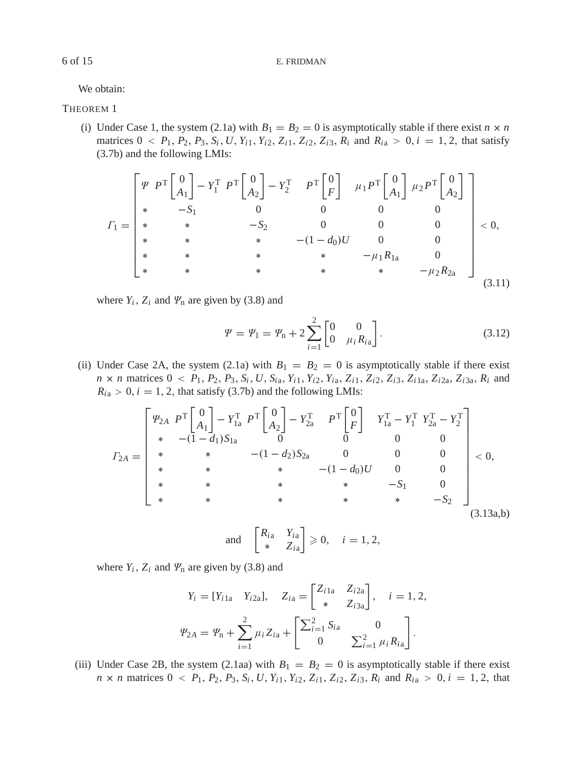We obtain:

# THEOREM 1

(i) Under Case 1, the system (2.1a) with  $B_1 = B_2 = 0$  is asymptotically stable if there exist  $n \times n$ matrices  $0 < P_1, P_2, P_3, S_i, U, Y_{i1}, Y_{i2}, Z_{i1}, Z_{i2}, Z_{i3}, R_i$  and  $R_{ia} > 0, i = 1, 2$ , that satisfy (3.7b) and the following LMIs:

$$
I_{1} = \begin{bmatrix} \Psi & P^{\text{T}} \begin{bmatrix} 0 \\ A_{1} \end{bmatrix} - Y_{1}^{\text{T}} & P^{\text{T}} \begin{bmatrix} 0 \\ A_{2} \end{bmatrix} - Y_{2}^{\text{T}} & P^{\text{T}} \begin{bmatrix} 0 \\ F \end{bmatrix} & \mu_{1} P^{\text{T}} \begin{bmatrix} 0 \\ A_{1} \end{bmatrix} & \mu_{2} P^{\text{T}} \begin{bmatrix} 0 \\ A_{2} \end{bmatrix} \\ * & * & -S_{1} & 0 & 0 & 0 & 0 \\ * & * & -S_{2} & 0 & 0 & 0 & 0 \\ * & * & * & -(\mathbf{1} - d_{0})U & 0 & 0 & 0 \\ * & * & * & * & -\mu_{1} R_{1a} & 0 & 0 \\ * & * & * & * & * & -\mu_{2} R_{2a} \end{bmatrix} & & (3.11)
$$

where  $Y_i$ ,  $Z_i$  and  $\mathcal{Y}_n$  are given by (3.8) and

$$
\Psi = \Psi_1 = \Psi_n + 2 \sum_{i=1}^{2} \begin{bmatrix} 0 & 0 \\ 0 & \mu_i R_{i\alpha} \end{bmatrix} .
$$
 (3.12)

(ii) Under Case 2A, the system (2.1a) with  $B_1 = B_2 = 0$  is asymptotically stable if there exist  $n \times n$  matrices  $0 \lt P_1$ ,  $P_2$ ,  $P_3$ ,  $S_i$ ,  $U$ ,  $S_{ia}$ ,  $Y_{i1}$ ,  $Y_{i2}$ ,  $Y_{ia}$ ,  $Z_{i1}$ ,  $Z_{i2}$ ,  $Z_{i3}$ ,  $Z_{i1}$ ,  $Z_{i2a}$ ,  $Z_{i3a}$ ,  $R_i$  and  $R_{i\text{a}} > 0$ ,  $i = 1, 2$ , that satisfy (3.7b) and the following LMIs:

$$
F_{2A} = \begin{bmatrix} \Psi_{2A} & P^{\text{T}} \begin{bmatrix} 0 \\ A_1 \end{bmatrix} - Y_{1a}^{\text{T}} & P^{\text{T}} \begin{bmatrix} 0 \\ A_2 \end{bmatrix} - Y_{2a}^{\text{T}} & P^{\text{T}} \begin{bmatrix} 0 \\ F \end{bmatrix} & Y_{1a}^{\text{T}} - Y_{1}^{\text{T}} & Y_{2a}^{\text{T}} - Y_{2}^{\text{T}} \\ * & * & - (1 - d_{1}) S_{1a} & 0 & 0 & 0 \\ * & * & * & - (1 - d_{0}) U & 0 & 0 \\ * & * & * & * & - S_{1} & 0 \\ * & * & * & * & * & - S_{2} \end{bmatrix} < 0,
$$
\n
$$
F_{2A} = \begin{bmatrix} \Psi_{2A} & P^{\text{T}} \begin{bmatrix} 0 \\ A_1 \end{bmatrix} - Y_{1a}^{\text{T}} & P^{\text{T}} \begin{bmatrix} 0 \\ A_2 \end{bmatrix} - Y_{2a}^{\text{T}} & P^{\text{T}} \begin{bmatrix} 0 \\ F \end{bmatrix} & Y_{1a}^{\text{T}} - Y_{1}^{\text{T}} & Y_{2a}^{\text{T}} - Y_{2}^{\text{T}} \\ * & * & - (1 - d_{2}) S_{2a} & 0 & 0 \\ * & * & * & - S_{1} & 0 \\ * & * & * & * & - S_{2} \end{bmatrix} < 0,
$$
\n
$$
(3.13a,b)
$$

and 
$$
\begin{bmatrix} R_{i\text{a}} & Y_{i\text{a}} \\ * & Z_{i\text{a}} \end{bmatrix} \geq 0, \quad i = 1, 2,
$$

where  $Y_i$ ,  $Z_i$  and  $\varPsi$ <sub>n</sub> are given by (3.8) and

$$
Y_i = [Y_{i1a} \quad Y_{i2a}], \quad Z_{i1a} = \begin{bmatrix} Z_{i1a} & Z_{i2a} \\ * & Z_{i3a} \end{bmatrix}, \quad i = 1, 2,
$$
  

$$
\Psi_{2A} = \Psi_n + \sum_{i=1}^2 \mu_i Z_{i1} + \begin{bmatrix} \sum_{i=1}^2 S_{i1a} & 0 \\ 0 & \sum_{i=1}^2 \mu_i R_{i1a} \end{bmatrix}.
$$

(iii) Under Case 2B, the system (2.1aa) with  $B_1 = B_2 = 0$  is asymptotically stable if there exist  $n \times n$  matrices  $0 \lt P_1$ ,  $P_2$ ,  $P_3$ ,  $S_i$ ,  $U$ ,  $Y_{i1}$ ,  $Y_{i2}$ ,  $Z_{i1}$ ,  $Z_{i2}$ ,  $Z_{i3}$ ,  $R_i$  and  $R_{i2} > 0$ ,  $i = 1, 2$ , that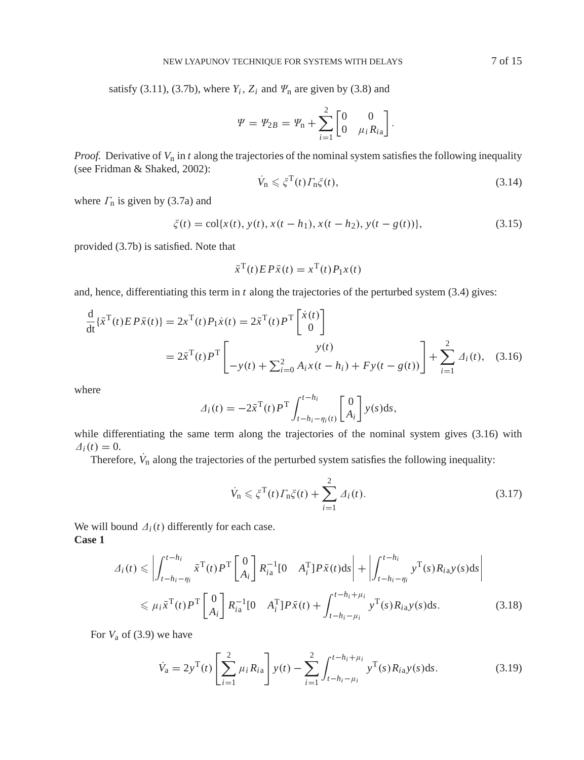satisfy (3.11), (3.7b), where  $Y_i$ ,  $Z_i$  and  $\Psi_n$  are given by (3.8) and

$$
\Psi = \Psi_{2B} = \Psi_{n} + \sum_{i=1}^{2} \begin{bmatrix} 0 & 0 \\ 0 & \mu_{i} R_{i} \end{bmatrix}.
$$

*Proof.* Derivative of  $V_n$  in *t* along the trajectories of the nominal system satisfies the following inequality (see Fridman & Shaked, 2002):

$$
\dot{V}_{\rm n} \leqslant \xi^{\rm T}(t) \Gamma_{\rm n} \xi(t),\tag{3.14}
$$

where  $\Gamma$ <sub>n</sub> is given by (3.7a) and

$$
\zeta(t) = \text{col}\{x(t), y(t), x(t - h_1), x(t - h_2), y(t - g(t))\},\tag{3.15}
$$

provided (3.7b) is satisfied. Note that

$$
\bar{x}^{\mathrm{T}}(t) E P \bar{x}(t) = x^{\mathrm{T}}(t) P_1 x(t)
$$

and, hence, differentiating this term in *t* along the trajectories of the perturbed system (3.4) gives:

$$
\frac{d}{dt} \{\bar{x}^{T}(t) E P \bar{x}(t)\} = 2x^{T}(t) P_{1} \dot{x}(t) = 2\bar{x}^{T}(t) P^{T} \begin{bmatrix} \dot{x}(t) \\ 0 \end{bmatrix}
$$
\n
$$
= 2\bar{x}^{T}(t) P^{T} \begin{bmatrix} y(t) \\ -y(t) + \sum_{i=0}^{2} A_{i} x(t - h_{i}) + F y(t - g(t)) \end{bmatrix} + \sum_{i=1}^{2} \Delta_{i}(t), \quad (3.16)
$$

where

$$
\Delta_i(t) = -2\bar{x}^{\mathrm{T}}(t)P^{\mathrm{T}}\int_{t-h_i-\eta_i(t)}^{t-h_i}\begin{bmatrix}0\\A_i\end{bmatrix}y(s)\mathrm{d}s,
$$

while differentiating the same term along the trajectories of the nominal system gives (3.16) with  $\Delta_i(t) = 0.$ 

Therefore,  $V_n$  along the trajectories of the perturbed system satisfies the following inequality:

$$
\dot{V}_{\rm n} \leq \xi^{\rm T}(t) \Gamma_{\rm n}\xi(t) + \sum_{i=1}^{2} \varDelta_i(t). \tag{3.17}
$$

We will bound  $\Delta_i(t)$  differently for each case. **Case 1**

$$
\Delta_i(t) \leq \left| \int_{t-h_i-\eta_i}^{t-h_i} \bar{x}^{\mathrm{T}}(t) P^{\mathrm{T}} \left[ \begin{array}{c} 0 \\ A_i \end{array} \right] R_{ia}^{-1} [0 \quad A_i^{\mathrm{T}}] P \bar{x}(t) \, ds \right| + \left| \int_{t-h_i-\eta_i}^{t-h_i} y^{\mathrm{T}}(s) R_{ia} y(s) \, ds \right|
$$
\n
$$
\leq \mu_i \bar{x}^{\mathrm{T}}(t) P^{\mathrm{T}} \left[ \begin{array}{c} 0 \\ A_i \end{array} \right] R_{ia}^{-1} [0 \quad A_i^{\mathrm{T}}] P \bar{x}(t) + \int_{t-h_i-\mu_i}^{t-h_i+\mu_i} y^{\mathrm{T}}(s) R_{ia} y(s) \, ds. \tag{3.18}
$$

For *V*<sup>a</sup> of (3.9) we have

$$
\dot{V}_a = 2y^T(t) \left[ \sum_{i=1}^2 \mu_i R_{ia} \right] y(t) - \sum_{i=1}^2 \int_{t-h_i-\mu_i}^{t-h_i+\mu_i} y^T(s) R_{ia} y(s) ds.
$$
 (3.19)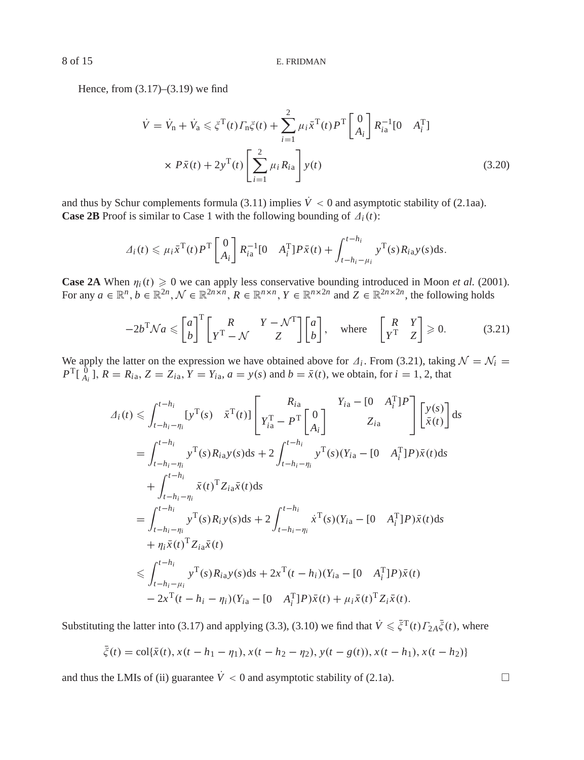Hence, from (3.17)–(3.19) we find

$$
\dot{V} = \dot{V}_{n} + \dot{V}_{a} \leq \xi^{T}(t) \Gamma_{n}\xi(t) + \sum_{i=1}^{2} \mu_{i}\bar{x}^{T}(t) P^{T} \begin{bmatrix} 0\\ A_{i} \end{bmatrix} R_{i}^{-1} [0 \quad A_{i}^{T}]
$$
  
 
$$
\times P\bar{x}(t) + 2y^{T}(t) \left[ \sum_{i=1}^{2} \mu_{i} R_{i a} \right] y(t)
$$
(3.20)

and thus by Schur complements formula (3.11) implies  $\dot{V} < 0$  and asymptotic stability of (2.1aa). **Case 2B** Proof is similar to Case 1 with the following bounding of  $\Delta_i(t)$ :

$$
\Delta_i(t) \leqslant \mu_i \bar{x}^{\mathrm{T}}(t) P^{\mathrm{T}} \begin{bmatrix} 0 \\ A_i \end{bmatrix} R_{i\mathrm{a}}^{-1} [0 \quad A_i^{\mathrm{T}}] P \bar{x}(t) + \int_{t-h_i-\mu_i}^{t-h_i} y^{\mathrm{T}}(s) R_{i\mathrm{a}} y(s) \mathrm{d}s.
$$

**Case 2A** When  $\eta_i(t) \geq 0$  we can apply less conservative bounding introduced in Moon *et al.* (2001). For any  $a \in \mathbb{R}^n$ ,  $b \in \mathbb{R}^{2n}$ ,  $\mathcal{N} \in \mathbb{R}^{2n \times n}$ ,  $R \in \mathbb{R}^{n \times n}$ ,  $Y \in \mathbb{R}^{n \times 2n}$  and  $Z \in \mathbb{R}^{2n \times 2n}$ , the following holds

$$
-2b^{\mathrm{T}}\mathcal{N}a \leqslant \begin{bmatrix} a \\ b \end{bmatrix}^{\mathrm{T}} \begin{bmatrix} R & Y - \mathcal{N}^{\mathrm{T}} \\ Y^{\mathrm{T}} - \mathcal{N} & Z \end{bmatrix} \begin{bmatrix} a \\ b \end{bmatrix}, \quad \text{where} \quad \begin{bmatrix} R & Y \\ Y^{\mathrm{T}} & Z \end{bmatrix} \geqslant 0. \tag{3.21}
$$

We apply the latter on the expression we have obtained above for  $\Delta_i$ . From (3.21), taking  $\mathcal{N} = \mathcal{N}_i = \mathbb{R}^T \mathbb{R}^n$  $P^{T}[\begin{bmatrix} 0 \\ A_i \end{bmatrix}, R = R_{ia}, Z = Z_{ia}, Y = Y_{ia}, a = y(s)$  and  $b = \bar{x}(t)$ , we obtain, for  $i = 1, 2$ , that

$$
A_i(t) \leq \int_{t-h_i-\eta_i}^{t-h_i} [y^{\mathrm{T}}(s) \quad \bar{x}^{\mathrm{T}}(t)] \left[ \begin{array}{cc} R_{ia} & Y_{ia} - [0 \quad A_i^{\mathrm{T}}]P \\ Y_{ia}^{\mathrm{T}} - P^{\mathrm{T}} \begin{bmatrix} 0 \\ A_i \end{bmatrix} & Z_{ia} \end{array} \right] \left[ \begin{array}{c} y(s) \\ \bar{x}(t) \end{array} \right] ds
$$
  
\n
$$
= \int_{t-h_i-\eta_i}^{t-h_i} y^{\mathrm{T}}(s) R_{ia} y(s) ds + 2 \int_{t-h_i-\eta_i}^{t-h_i} y^{\mathrm{T}}(s) (Y_{ia} - [0 \quad A_i^{\mathrm{T}}] P) \bar{x}(t) ds
$$
  
\n
$$
+ \int_{t-h_i-\eta_i}^{t-h_i} \bar{x}(t)^{\mathrm{T}} Z_{ia} \bar{x}(t) ds
$$
  
\n
$$
= \int_{t-h_i-\eta_i}^{t-h_i} y^{\mathrm{T}}(s) R_i y(s) ds + 2 \int_{t-h_i-\eta_i}^{t-h_i} \dot{x}^{\mathrm{T}}(s) (Y_{ia} - [0 \quad A_i^{\mathrm{T}}] P) \bar{x}(t) ds
$$
  
\n
$$
+ \eta_i \bar{x}(t)^{\mathrm{T}} Z_{ia} \bar{x}(t)
$$
  
\n
$$
\leq \int_{t-h_i-\mu_i}^{t-h_i} y^{\mathrm{T}}(s) R_{ia} y(s) ds + 2x^{\mathrm{T}}(t-h_i) (Y_{ia} - [0 \quad A_i^{\mathrm{T}}] P) \bar{x}(t)
$$
  
\n
$$
- 2x^{\mathrm{T}}(t-h_i-\eta_i) (Y_{ia} - [0 \quad A_i^{\mathrm{T}}] P) \bar{x}(t) + \mu_i \bar{x}(t)^{\mathrm{T}} Z_i \bar{x}(t).
$$

Substituting the latter into (3.17) and applying (3.3), (3.10) we find that  $\dot{V} \leq \bar{\xi}^{\mathrm{T}}(t) \Gamma_{2A} \bar{\xi}(t)$ , where

$$
\bar{\xi}(t) = \text{col}\{\bar{x}(t), x(t - h_1 - \eta_1), x(t - h_2 - \eta_2), y(t - g(t)), x(t - h_1), x(t - h_2)\}
$$

and thus the LMIs of (ii) guarantee  $\dot{V} < 0$  and asymptotic stability of (2.1a).

$$
\Box
$$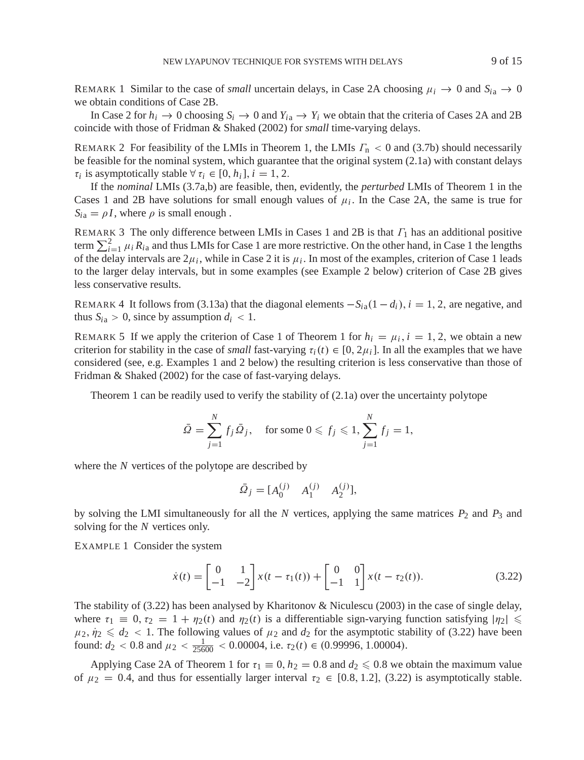REMARK 1 Similar to the case of *small* uncertain delays, in Case 2A choosing  $\mu_i \to 0$  and  $S_{i} \to 0$ we obtain conditions of Case 2B.

In Case 2 for  $h_i \to 0$  choosing  $S_i \to 0$  and  $Y_{i} \to Y_i$  we obtain that the criteria of Cases 2A and 2B coincide with those of Fridman & Shaked (2002) for *small* time-varying delays.

REMARK 2 For feasibility of the LMIs in Theorem 1, the LMIs  $\Gamma_n < 0$  and (3.7b) should necessarily be feasible for the nominal system, which guarantee that the original system (2.1a) with constant delays  $\tau_i$  is asymptotically stable  $\forall \tau_i \in [0, h_i], i = 1, 2$ .

If the *nominal* LMIs (3.7a,b) are feasible, then, evidently, the *perturbed* LMIs of Theorem 1 in the Cases 1 and 2B have solutions for small enough values of  $\mu_i$ . In the Case 2A, the same is true for  $S_{i\alpha} = \rho I$ , where  $\rho$  is small enough.

REMARK 3 The only difference between LMIs in Cases 1 and 2B is that  $\Gamma_1$  has an additional positive term  $\sum_{i=1}^{2} \mu_i R_{i\alpha}$  and thus LMIs for Case 1 are more restrictive. On the other hand, in Case 1 the lengths of the delay intervals are  $2\mu_i$ , while in Case 2 it is  $\mu_i$ . In most of the examples, criterion of Case 1 leads to the larger delay intervals, but in some examples (see Example 2 below) criterion of Case 2B gives less conservative results.

REMARK 4 It follows from (3.13a) that the diagonal elements  $-S_{ia}(1-d_i)$ ,  $i = 1, 2$ , are negative, and thus  $S_{i\alpha} > 0$ , since by assumption  $d_i < 1$ .

REMARK 5 If we apply the criterion of Case 1 of Theorem 1 for  $h_i = \mu_i$ ,  $i = 1, 2$ , we obtain a new criterion for stability in the case of *small* fast-varying  $\tau_i(t) \in [0, 2\mu_i]$ . In all the examples that we have considered (see, e.g. Examples 1 and 2 below) the resulting criterion is less conservative than those of Fridman & Shaked (2002) for the case of fast-varying delays.

Theorem 1 can be readily used to verify the stability of  $(2.1a)$  over the uncertainty polytope

$$
\bar{\Omega} = \sum_{j=1}^{N} f_j \bar{\Omega}_j, \quad \text{for some } 0 \leqslant f_j \leqslant 1, \sum_{j=1}^{N} f_j = 1,
$$

where the *N* vertices of the polytope are described by

$$
\bar{\Omega}_j = [A_0^{(j)} \quad A_1^{(j)} \quad A_2^{(j)}],
$$

by solving the LMI simultaneously for all the *N* vertices, applying the same matrices  $P_2$  and  $P_3$  and solving for the *N* vertices only.

EXAMPLE 1 Consider the system

$$
\dot{x}(t) = \begin{bmatrix} 0 & 1 \\ -1 & -2 \end{bmatrix} x(t - \tau_1(t)) + \begin{bmatrix} 0 & 0 \\ -1 & 1 \end{bmatrix} x(t - \tau_2(t)).
$$
\n(3.22)

The stability of (3.22) has been analysed by Kharitonov & Niculescu (2003) in the case of single delay, where  $\tau_1 \equiv 0$ ,  $\tau_2 = 1 + \eta_2(t)$  and  $\eta_2(t)$  is a differentiable sign-varying function satisfying  $|\eta_2| \le$  $\mu_2$ ,  $\eta_2 \leq d_2 < 1$ . The following values of  $\mu_2$  and  $d_2$  for the asymptotic stability of (3.22) have been found:  $d_2 < 0.8$  and  $\mu_2 < \frac{1}{25600} < 0.00004$ , i.e.  $\tau_2(t) \in (0.99996, 1.00004)$ .

Applying Case 2A of Theorem 1 for  $\tau_1 \equiv 0$ ,  $h_2 = 0.8$  and  $d_2 \leq 0.8$  we obtain the maximum value of  $\mu_2 = 0.4$ , and thus for essentially larger interval  $\tau_2 \in [0.8, 1.2]$ , (3.22) is asymptotically stable.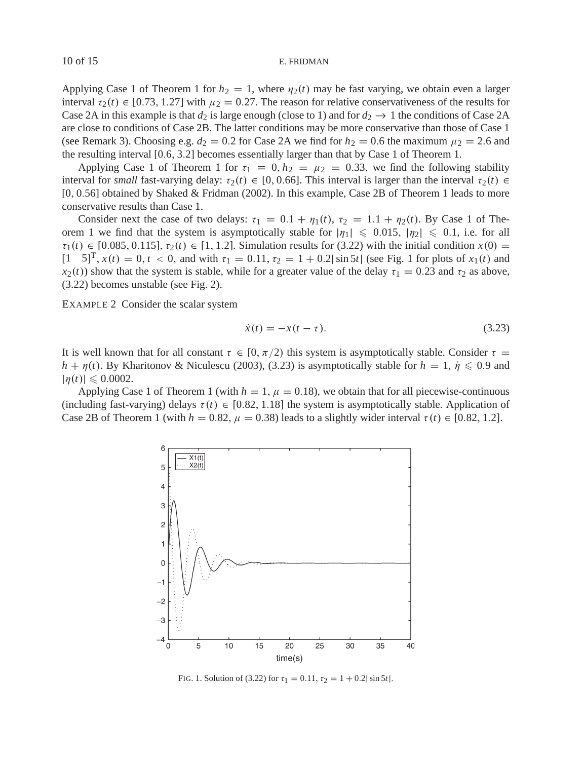Applying Case 1 of Theorem 1 for  $h_2 = 1$ , where  $\eta_2(t)$  may be fast varying, we obtain even a larger interval  $\tau_2(t) \in [0.73, 1.27]$  with  $\mu_2 = 0.27$ . The reason for relative conservativeness of the results for Case 2A in this example is that  $d_2$  is large enough (close to 1) and for  $d_2 \rightarrow 1$  the conditions of Case 2A are close to conditions of Case 2B. The latter conditions may be more conservative than those of Case 1 (see Remark 3). Choosing e.g.  $d_2 = 0.2$  for Case 2A we find for  $h_2 = 0.6$  the maximum  $\mu_2 = 2.6$  and the resulting interval [0.6, 3.2] becomes essentially larger than that by Case 1 of Theorem 1.

Applying Case 1 of Theorem 1 for  $\tau_1 \equiv 0, h_2 = \mu_2 = 0.33$ , we find the following stability interval for *small* fast-varying delay:  $\tau_2(t) \in [0, 0.66]$ . This interval is larger than the interval  $\tau_2(t) \in$ [0, 0.56] obtained by Shaked & Fridman (2002). In this example, Case 2B of Theorem 1 leads to more conservative results than Case 1.

Consider next the case of two delays:  $\tau_1 = 0.1 + \eta_1(t)$ ,  $\tau_2 = 1.1 + \eta_2(t)$ . By Case 1 of Theorem 1 we find that the system is asymptotically stable for  $|\eta_1| \leq 0.015$ ,  $|\eta_2| \leq 0.1$ , i.e. for all  $\tau_1(t) \in [0.085, 0.115], \tau_2(t) \in [1, 1.2].$  Simulation results for (3.22) with the initial condition  $x(0) =$  $[1 \ 5]^T$ ,  $x(t) = 0$ ,  $t < 0$ , and with  $\tau_1 = 0.11$ ,  $\tau_2 = 1 + 0.2|\sin 5t|$  (see Fig. 1 for plots of  $x_1(t)$  and  $x_2(t)$ ) show that the system is stable, while for a greater value of the delay  $\tau_1 = 0.23$  and  $\tau_2$  as above, (3.22) becomes unstable (see Fig. 2).

EXAMPLE 2 Consider the scalar system

$$
\dot{x}(t) = -x(t - \tau). \tag{3.23}
$$

It is well known that for all constant  $\tau \in [0, \pi/2)$  this system is asymptotically stable. Consider  $\tau =$  $h + \eta(t)$ . By Kharitonov & Niculescu (2003), (3.23) is asymptotically stable for  $h = 1$ ,  $\eta \leq 0.9$  and  $|\eta(t)| \leq 0.0002$ .

Applying Case 1 of Theorem 1 (with  $h = 1$ ,  $\mu = 0.18$ ), we obtain that for all piecewise-continuous (including fast-varying) delays  $\tau(t) \in [0.82, 1.18]$  the system is asymptotically stable. Application of Case 2B of Theorem 1 (with  $h = 0.82$ ,  $\mu = 0.38$ ) leads to a slightly wider interval  $\tau(t) \in [0.82, 1.2]$ .



FIG. 1. Solution of (3.22) for  $\tau_1 = 0.11$ ,  $\tau_2 = 1 + 0.2|\sin 5t|$ .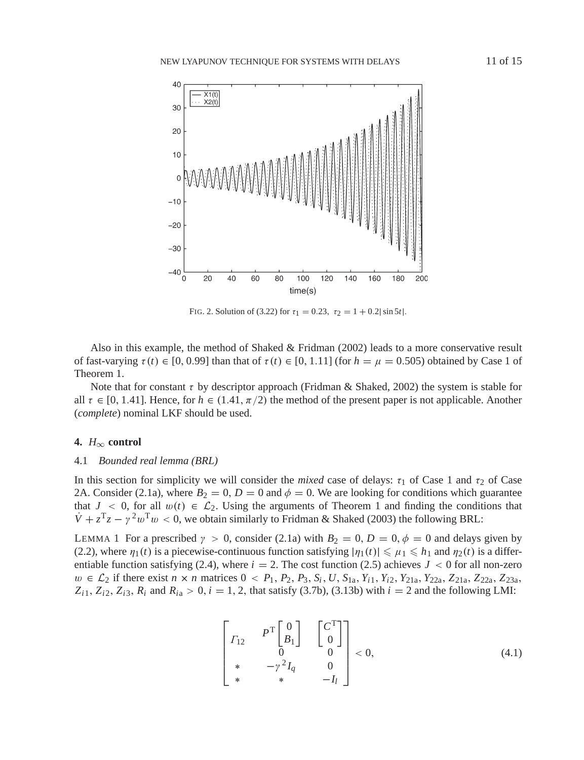

FIG. 2. Solution of (3.22) for  $\tau_1 = 0.23$ ,  $\tau_2 = 1 + 0.2|\sin 5t|$ .

Also in this example, the method of Shaked & Fridman (2002) leads to a more conservative result of fast-varying  $\tau(t) \in [0, 0.99]$  than that of  $\tau(t) \in [0, 1.11]$  (for  $h = \mu = 0.505$ ) obtained by Case 1 of Theorem 1.

Note that for constant  $\tau$  by descriptor approach (Fridman & Shaked, 2002) the system is stable for all  $\tau \in [0, 1.41]$ . Hence, for  $h \in (1.41, \pi/2)$  the method of the present paper is not applicable. Another (*complete*) nominal LKF should be used.

# **4.** *H*<sup>∞</sup> **control**

### 4.1 *Bounded real lemma (BRL)*

In this section for simplicity we will consider the *mixed* case of delays:  $\tau_1$  of Case 1 and  $\tau_2$  of Case 2A. Consider (2.1a), where  $B_2 = 0$ ,  $D = 0$  and  $\phi = 0$ . We are looking for conditions which guarantee that  $J < 0$ , for all  $w(t) \in \mathcal{L}_2$ . Using the arguments of Theorem 1 and finding the conditions that  $\dot{V} + z^Tz - y^2w^Tw \leq 0$ , we obtain similarly to Fridman & Shaked (2003) the following BRL:

LEMMA 1 For a prescribed  $\gamma > 0$ , consider (2.1a) with  $B_2 = 0$ ,  $D = 0$ ,  $\phi = 0$  and delays given by (2.2), where  $\eta_1(t)$  is a piecewise-continuous function satisfying  $|\eta_1(t)| \leq \mu_1 \leq h_1$  and  $\eta_2(t)$  is a differentiable function satisfying (2.4), where  $i = 2$ . The cost function (2.5) achieves  $J < 0$  for all non-zero *w* ∈  $\mathcal{L}_2$  if there exist *n* × *n* matrices 0 <  $P_1$ ,  $P_2$ ,  $P_3$ ,  $S_i$ ,  $U$ ,  $S_{1a}$ ,  $Y_{i1}$ ,  $Y_{i2}$ ,  $Y_{21a}$ ,  $Y_{22a}$ ,  $Z_{21a}$ ,  $Z_{22a}$ ,  $Z_{23a}$ ,  $Z_{i1}$ ,  $Z_{i2}$ ,  $Z_{i3}$ ,  $R_i$  and  $R_{i}$  > 0,  $i = 1, 2$ , that satisfy (3.7b), (3.13b) with  $i = 2$  and the following LMI:

$$
\begin{bmatrix}\nT_{12} & P^{\text{T}} \begin{bmatrix} 0 \\ B_1 \end{bmatrix} & \begin{bmatrix} C^{\text{T}} \\ 0 \end{bmatrix} \\
* & -\gamma^2 I_q & 0 \\
* & * & -I_l\n\end{bmatrix} < 0,\n\tag{4.1}
$$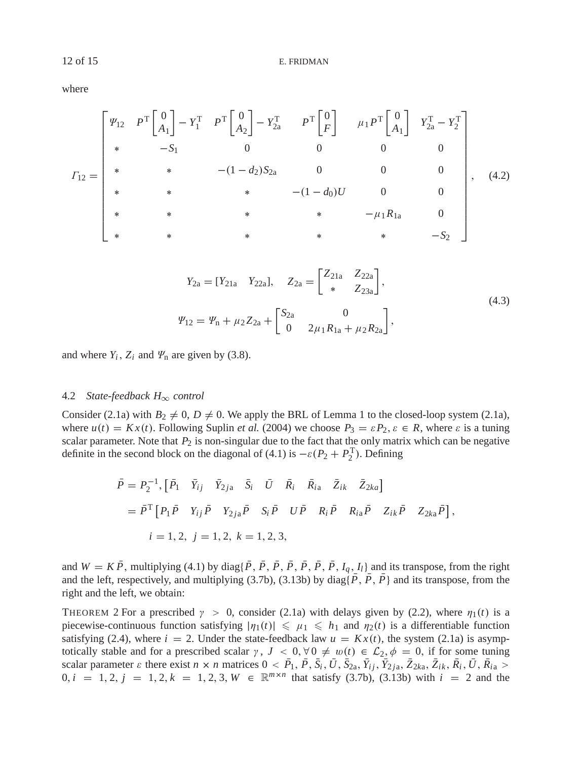where

$$
I_{12} = \begin{bmatrix} \Psi_{12} & P^{\text{T}} \begin{bmatrix} 0 \\ A_1 \end{bmatrix} - Y_1^{\text{T}} & P^{\text{T}} \begin{bmatrix} 0 \\ A_2 \end{bmatrix} - Y_{2a}^{\text{T}} & P^{\text{T}} \begin{bmatrix} 0 \\ F \end{bmatrix} & \mu_1 P^{\text{T}} \begin{bmatrix} 0 \\ A_1 \end{bmatrix} & Y_{2a}^{\text{T}} - Y_2^{\text{T}} \\ * & -S_1 & 0 & 0 & 0 \\ * & * & - (1 - d_2) S_{2a} & 0 & 0 & 0 \\ * & * & * & - (1 - d_0) U & 0 & 0 \\ * & * & * & * & - \mu_1 R_{1a} & 0 \\ * & * & * & * & * & - S_2 \end{bmatrix}, \quad (4.2)
$$

$$
Y_{2a} = [Y_{21a} \quad Y_{22a}], \quad Z_{2a} = \begin{bmatrix} Z_{21a} & Z_{22a} \\ * & Z_{23a} \end{bmatrix},
$$
  
\n
$$
\Psi_{12} = \Psi_n + \mu_2 Z_{2a} + \begin{bmatrix} S_{2a} & 0 \\ 0 & 2\mu_1 R_{1a} + \mu_2 R_{2a} \end{bmatrix},
$$
\n(4.3)

and where  $Y_i$ ,  $Z_i$  and  $\Psi_n$  are given by (3.8).

# 4.2 *State-feedback H*<sup>∞</sup> *control*

Consider (2.1a) with  $B_2 \neq 0$ ,  $D \neq 0$ . We apply the BRL of Lemma 1 to the closed-loop system (2.1a), where  $u(t) = Kx(t)$ . Following Suplin *et al.* (2004) we choose  $P_3 = \varepsilon P_2$ ,  $\varepsilon \in R$ , where  $\varepsilon$  is a tuning scalar parameter. Note that  $P_2$  is non-singular due to the fact that the only matrix which can be negative definite in the second block on the diagonal of (4.1) is  $-\varepsilon(P_2 + P_2^T)$ . Defining

$$
\begin{aligned}\n\bar{P} &= P_2^{-1}, \left[ \bar{P}_1 \quad \bar{Y}_{ij} \quad \bar{Y}_{2ja} \quad \bar{S}_i \quad \bar{U} \quad \bar{R}_i \quad \bar{R}_{ia} \quad \bar{Z}_{ik} \quad \bar{Z}_{2ka} \right] \\
&= \bar{P}^{\mathrm{T}} \left[ P_1 \bar{P} \quad Y_{ij} \bar{P} \quad Y_{2ja} \bar{P} \quad S_i \bar{P} \quad U \bar{P} \quad R_i \bar{P} \quad R_{ia} \bar{P} \quad Z_{ik} \bar{P} \quad Z_{2ka} \bar{P} \right], \\
i &= 1, 2, \ j = 1, 2, \ k = 1, 2, 3,\n\end{aligned}
$$

and  $W = K \overline{P}$ , multiplying (4.1) by diag{ $\overline{P}$ ,  $\overline{P}$ ,  $\overline{P}$ ,  $\overline{P}$ ,  $\overline{P}$ ,  $\overline{P}$ ,  $\overline{P}$ ,  $I_q$ ,  $I_l$ } and its transpose, from the right and the left, respectively, and multiplying (3.7b), (3.13b) by diag{ $\overline{P}$ ,  $\overline{P}$ ,  $\overline{P}$ } and its transpose, from the right and the left, we obtain:

THEOREM 2 For a prescribed  $\gamma > 0$ , consider (2.1a) with delays given by (2.2), where  $\eta_1(t)$  is a piecewise-continuous function satisfying  $|\eta_1(t)| \leq \mu_1 \leq h_1$  and  $\eta_2(t)$  is a differentiable function satisfying (2.4), where  $i = 2$ . Under the state-feedback law  $u = Kx(t)$ , the system (2.1a) is asymptotically stable and for a prescribed scalar  $\gamma$ ,  $J < 0$ ,  $\forall 0 \neq w(t) \in \mathcal{L}_2$ ,  $\phi = 0$ , if for some tuning scalar parameter  $\varepsilon$  there exist  $n \times n$  matrices  $0 < P_1, P, S_i, U, S_{2a}, Y_{ij}, Y_{2ja}, Z_{2ka}, Z_{ik}, R_i, U, R_{ia} >$  $0, i = 1, 2, j = 1, 2, k = 1, 2, 3, W \in \mathbb{R}^{m \times n}$  that satisfy (3.7b), (3.13b) with  $i = 2$  and the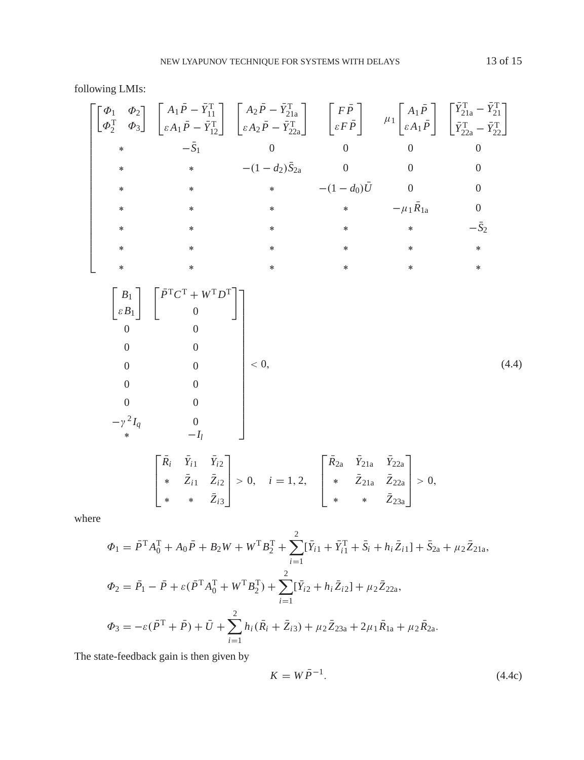following LMIs:

$$
\begin{bmatrix}\n\begin{bmatrix}\n\phi_1 & \phi_2 \\
\phi_2^T & \phi_3\n\end{bmatrix}\n\begin{bmatrix}\nA_1 \tilde{P} - \tilde{Y}_{11}^T \\
\varepsilon A_1 \tilde{P} - \tilde{Y}_{12}^T\n\end{bmatrix}\n\begin{bmatrix}\nA_2 \tilde{P} - \tilde{Y}_{21a}^T \\
\varepsilon A_2 \tilde{P} - \tilde{Y}_{22a}^T\n\end{bmatrix}\n\begin{bmatrix}\nF \tilde{P} \\
\varepsilon F \tilde{P}\n\end{bmatrix}\n\begin{bmatrix}\n\mu_1 \begin{bmatrix}\nA_1 \tilde{P} \\
\varepsilon A_1 \tilde{P}\n\end{bmatrix}\n\begin{bmatrix}\n\tilde{Y}_{21a}^T - \tilde{Y}_{21a}^T \\
\tilde{Y}_{22a}^T - \tilde{Y}_{22a}^T\n\end{bmatrix}\n\begin{bmatrix}\n\ast & * & - (1 - d_2)\tilde{S}_{2a} & 0 & 0 & 0 \\
\ast & * & * & * & -\mu_1 \tilde{R}_{1a} & 0 \\
\ast & * & * & * & * \\
\ast & * & * & * & * \\
\ast & * & * & * & * \\
\kappa & * & * & * & * \\
\kappa & * & * & * & * \\
\kappa & * & * & * & * \\
\hline\n\begin{bmatrix}\nB_1 \\
\varepsilon B_1\n\end{bmatrix}\n\begin{bmatrix}\n\tilde{P}^T C^T + W^T D^T \\
0\n\end{bmatrix}\n\end{bmatrix}\n\begin{bmatrix}\n\ast & \check{Y}_{11} & \check{Y}_{12} \\
0 & 0 & 0 \\
0 & 0 & 0 \\
\ast & \ast & -I_l\n\end{bmatrix}\n\begin{bmatrix}\n\tilde{R}_i & \check{Y}_{i1} & \check{Y}_{i2} \\
0 & 0 & 0 \\
\ast & * & -I_l\n\end{bmatrix}\n\begin{bmatrix}\n\tilde{R}_2 & \check{Y}_{21a} & \check{Y}_{22a} \\
* & \check{Z}_{21a} & \check{Z}_{22a} \\
\ast & * & \check{Z}_{23a}\n\end{bmatrix} > 0,\n\quad (4.4)
$$

where

$$
\Phi_1 = \bar{P}^{\mathrm{T}} A_0^{\mathrm{T}} + A_0 \bar{P} + B_2 W + W^{\mathrm{T}} B_2^{\mathrm{T}} + \sum_{i=1}^2 [\bar{Y}_{i1} + \bar{Y}_{i1}^{\mathrm{T}} + \bar{S}_i + h_i \bar{Z}_{i1}] + \bar{S}_{2a} + \mu_2 \bar{Z}_{21a},
$$
  
\n
$$
\Phi_2 = \bar{P}_1 - \bar{P} + \varepsilon (\bar{P}^{\mathrm{T}} A_0^{\mathrm{T}} + W^{\mathrm{T}} B_2^{\mathrm{T}}) + \sum_{i=1}^2 [\bar{Y}_{i2} + h_i \bar{Z}_{i2}] + \mu_2 \bar{Z}_{22a},
$$
  
\n
$$
\Phi_3 = -\varepsilon (\bar{P}^{\mathrm{T}} + \bar{P}) + \bar{U} + \sum_{i=1}^2 h_i (\bar{R}_i + \bar{Z}_{i3}) + \mu_2 \bar{Z}_{23a} + 2\mu_1 \bar{R}_{1a} + \mu_2 \bar{R}_{2a}.
$$

The state-feedback gain is then given by

$$
K = W\bar{P}^{-1}.\tag{4.4c}
$$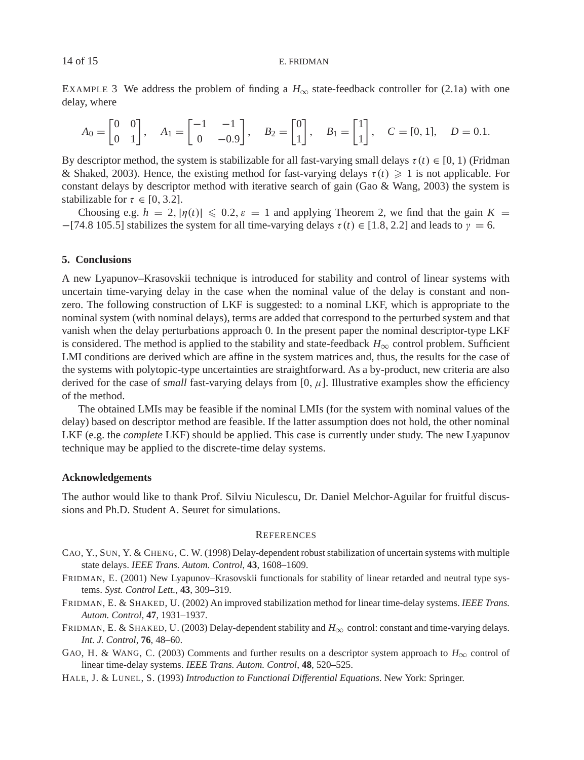EXAMPLE 3 We address the problem of finding a  $H_{\infty}$  state-feedback controller for (2.1a) with one delay, where

$$
A_0 = \begin{bmatrix} 0 & 0 \\ 0 & 1 \end{bmatrix}, \quad A_1 = \begin{bmatrix} -1 & -1 \\ 0 & -0.9 \end{bmatrix}, \quad B_2 = \begin{bmatrix} 0 \\ 1 \end{bmatrix}, \quad B_1 = \begin{bmatrix} 1 \\ 1 \end{bmatrix}, \quad C = [0, 1], \quad D = 0.1.
$$

By descriptor method, the system is stabilizable for all fast-varying small delays  $\tau(t) \in [0, 1)$  (Fridman & Shaked, 2003). Hence, the existing method for fast-varying delays  $\tau(t) \geq 1$  is not applicable. For constant delays by descriptor method with iterative search of gain (Gao & Wang, 2003) the system is stabilizable for  $\tau \in [0, 3.2]$ .

Choosing e.g.  $h = 2$ ,  $|\eta(t)| \le 0.2$ ,  $\varepsilon = 1$  and applying Theorem 2, we find that the gain  $K =$  $-[74.8 \, 105.5]$  stabilizes the system for all time-varying delays  $\tau(t) \in [1.8, 2.2]$  and leads to  $\gamma = 6$ .

### **5. Conclusions**

A new Lyapunov–Krasovskii technique is introduced for stability and control of linear systems with uncertain time-varying delay in the case when the nominal value of the delay is constant and nonzero. The following construction of LKF is suggested: to a nominal LKF, which is appropriate to the nominal system (with nominal delays), terms are added that correspond to the perturbed system and that vanish when the delay perturbations approach 0. In the present paper the nominal descriptor-type LKF is considered. The method is applied to the stability and state-feedback  $H_{\infty}$  control problem. Sufficient LMI conditions are derived which are affine in the system matrices and, thus, the results for the case of the systems with polytopic-type uncertainties are straightforward. As a by-product, new criteria are also derived for the case of *small* fast-varying delays from  $[0, \mu]$ . Illustrative examples show the efficiency of the method.

The obtained LMIs may be feasible if the nominal LMIs (for the system with nominal values of the delay) based on descriptor method are feasible. If the latter assumption does not hold, the other nominal LKF (e.g. the *complete* LKF) should be applied. This case is currently under study. The new Lyapunov technique may be applied to the discrete-time delay systems.

## **Acknowledgements**

The author would like to thank Prof. Silviu Niculescu, Dr. Daniel Melchor-Aguilar for fruitful discussions and Ph.D. Student A. Seuret for simulations.

## **REFERENCES**

- CAO, Y., SUN, Y. & CHENG, C. W. (1998) Delay-dependent robust stabilization of uncertain systems with multiple state delays. *IEEE Trans. Autom. Control*, **43**, 1608–1609.
- FRIDMAN, E. (2001) New Lyapunov–Krasovskii functionals for stability of linear retarded and neutral type systems. *Syst. Control Lett.*, **43**, 309–319.
- FRIDMAN, E. & SHAKED, U. (2002) An improved stabilization method for linear time-delay systems. *IEEE Trans. Autom. Control*, **47**, 1931–1937.
- FRIDMAN, E. & SHAKED, U. (2003) Delay-dependent stability and *H*<sup>∞</sup> control: constant and time-varying delays. *Int. J. Control*, **76**, 48–60.
- GAO, H. & WANG, C. (2003) Comments and further results on a descriptor system approach to  $H_{\infty}$  control of linear time-delay systems. *IEEE Trans. Autom. Control*, **48**, 520–525.
- HALE, J. & LUNEL, S. (1993) *Introduction to Functional Differential Equations*. New York: Springer.